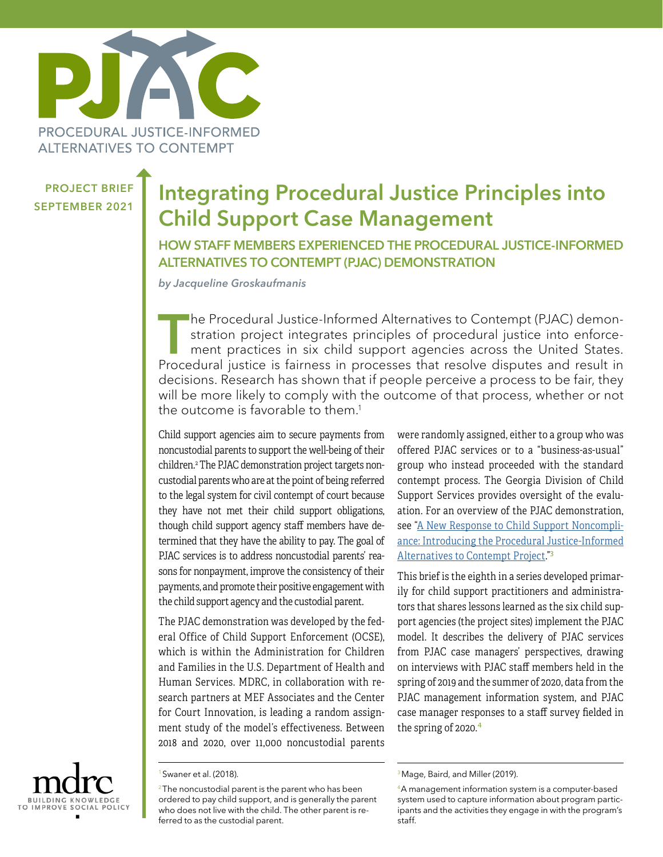

PROJECT BRIEF

# **PROJECT BRIEF** Integrating Procedural Justice Principles into Child Support Case Management

HOW STAFF MEMBERS EXPERIENCED THE PROCEDURAL JUSTICE-INFORMED ALTERNATIVES TO CONTEMPT (PJAC) DEMONSTRATION

*by Jacqueline Groskaufmanis* 

The Procedural Justice-Informed Alternatives to Contempt (PJAC) demonstration project integrates principles of procedural justice into enforcement practices in six child support agencies across the United States. Procedural justice is fairness in processes that resolve disputes and result in decisions. Research has shown that if people perceive a process to be fair, they will be more likely to comply with the outcome of that process, whether or not the outcome is favorable to them.<sup>1</sup>

Child support agencies aim to secure payments from noncustodial parents to support the well-being of their children.2 The PJAC demonstration project targets noncustodial parents who are at the point of being referred to the legal system for civil contempt of court because they have not met their child support obligations, though child support agency staff members have determined that they have the ability to pay. The goal of PJAC services is to address noncustodial parents' reasons for nonpayment, improve the consistency of their payments, and promote their positive engagement with the child support agency and the custodial parent.

The PJAC demonstration was developed by the federal Office of Child Support Enforcement (OCSE), which is within the Administration for Children and Families in the U.S. Department of Health and Human Services. MDRC, in collaboration with research partners at MEF Associates and the Center for Court Innovation, is leading a random assignment study of the model's effectiveness. Between 2018 and 2020, over 11,000 noncustodial parents

<sup>1</sup> Swaner et al. (2018).

were randomly assigned, either to a group who was offered PJAC services or to a "business-as-usual" group who instead proceeded with the standard contempt process. The Georgia Division of Child Support Services provides oversight of the evaluation. For an overview of the PJAC demonstration, see ["A New Response to Child Support Noncompli](https://www.mdrc.org/sites/default/files/PJAC_Study Brief_2019.pdf)[ance: Introducing the Procedural Justice-Informed](https://www.mdrc.org/sites/default/files/PJAC_Study Brief_2019.pdf) [Alternatives to Contempt Project.](https://www.mdrc.org/sites/default/files/PJAC_Study Brief_2019.pdf)"<sup>3</sup>

This brief is the eighth in a series developed primarily for child support practitioners and administrators that shares lessons learned as the six child support agencies (the project sites) implement the PJAC model. It describes the delivery of PJAC services from PJAC case managers' perspectives, drawing on interviews with PJAC staff members held in the spring of 2019 and the summer of 2020, data from the PJAC management information system, and PJAC case manager responses to a staff survey fielded in the spring of 2020.<sup>4</sup>



 $2$ The noncustodial parent is the parent who has been ordered to pay child support, and is generally the parent who does not live with the child. The other parent is referred to as the custodial parent.

<sup>&</sup>lt;sup>3</sup> Mage, Baird, and Miller (2019).

<sup>4</sup>A management information system is a computer-based system used to capture information about program participants and the activities they engage in with the program's staff.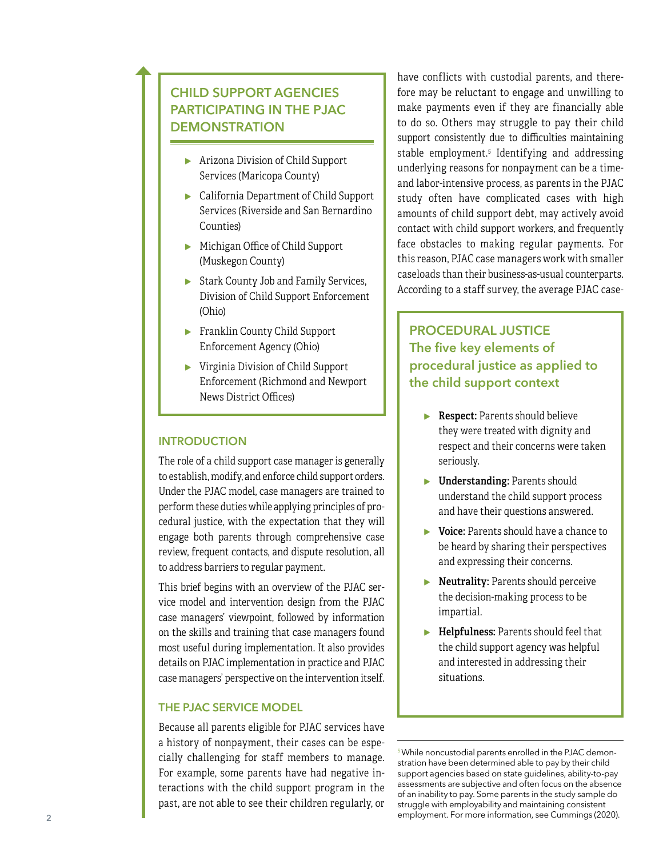# CHILD SUPPORT AGENCIES PARTICIPATING IN THE PJAC **DEMONSTRATION**

- ▸ Arizona Division of Child Support Services (Maricopa County)
- ▸ California Department of Child Support Services (Riverside and San Bernardino Counties)
- ▸ Michigan Office of Child Support (Muskegon County)
- ▸ Stark County Job and Family Services, Division of Child Support Enforcement (Ohio)
- ▶ Franklin County Child Support Enforcement Agency (Ohio)
- ▸ Virginia Division of Child Support Enforcement (Richmond and Newport News District Offices)

## **INTRODUCTION**

The role of a child support case manager is generally to establish, modify, and enforce child support orders. Under the PJAC model, case managers are trained to perform these duties while applying principles of pro cedural justice, with the expectation that they will engage both parents through comprehensive case review, frequent contacts, and dispute resolution, all to address barriers to regular payment.

This brief begins with an overview of the PJAC ser vice model and intervention design from the PJAC case managers' viewpoint, followed by information on the skills and training that case managers found most useful during implementation. It also provides details on PJAC implementation in practice and PJAC case managers' perspective on the intervention itself.

### THE PJAC SERVICE MODEL

Because all parents eligible for PJAC services have a history of nonpayment, their cases can be espe cially challenging for staff members to manage. For example, some parents have had negative in teractions with the child support program in the past, are not able to see their children regularly, or

have conflicts with custodial parents, and there fore may be reluctant to engage and unwilling to make payments even if they are financially able to do so. Others may struggle to pay their child support consistently due to difficulties maintaining stable employment. 5 Identifying and addressing underlying reasons for nonpayment can be a timeand labor-intensive process, as parents in the PJAC study often have complicated cases with high amounts of child support debt, may actively avoid contact with child support workers, and frequently face obstacles to making regular payments. For this reason, PJAC case managers work with smaller caseloads than their business-as-usual counterparts. According to a staff survey, the average PJAC case -

# PROCEDURAL JUSTICE The five key elements of procedural justice as applied to the child support context

- ▶ Respect: Parents should believe they were treated with dignity and respect and their concerns were taken seriously.
- ▸ Understanding: Parents should understand the child support process and have their questions answered.
- ▸ Voice: Parents should have a chance to be heard by sharing their perspectives and expressing their concerns.
- ▸ Neutrality: Parents should perceive the decision-making process to be impartial.
- ▸ Helpfulness: Parents should feel that the child support agency was helpful and interested in addressing their situations.

5 While noncustodial parents enrolled in the PJAC demon stration have been determined able to pay by their child support agencies based on state guidelines, ability-to-pay assessments are subjective and often focus on the absence of an inability to pay. Some parents in the study sample do struggle with employability and maintaining consistent employment. For more information, see Cummings (2020).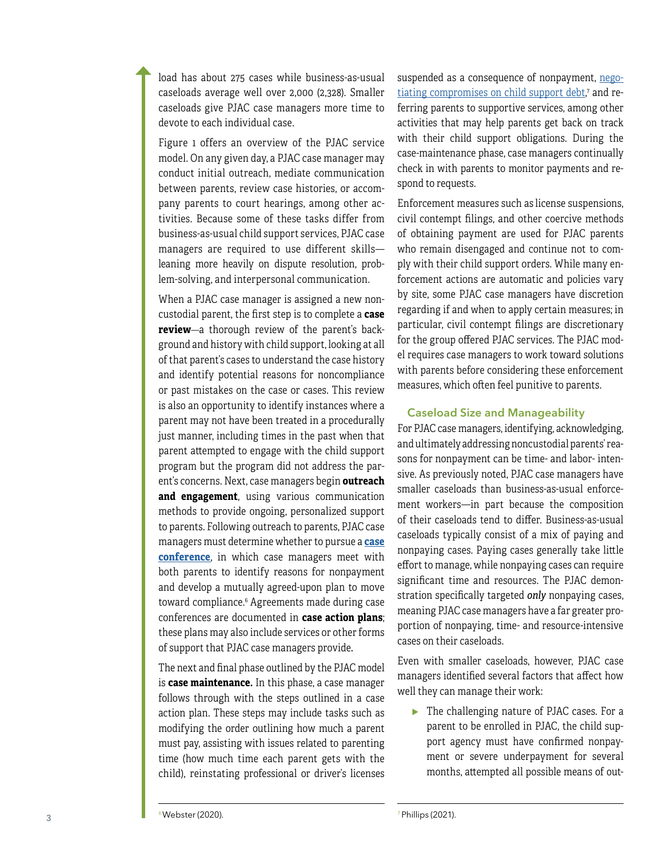load has about 275 cases while business-as-usual caseloads average well over 2,000 (2,328). Smaller caseloads give PJAC case managers more time to devote to each individual case.

Figure 1 offers an overview of the PJAC service model. On any given day, a PJAC case manager may conduct initial outreach, mediate communication between parents, review case histories, or accom pany parents to court hearings, among other ac tivities. Because some of these tasks differ from business-as-usual child support services, PJAC case managers are required to use different skills leaning more heavily on dispute resolution, prob lem-solving, and interpersonal communication.

When a PJAC case manager is assigned a new non custodial parent, the first step is to complete a **case review** —a thorough review of the parent's background and history with child support, looking at all of that parent's cases to understand the case history and identify potential reasons for noncompliance or past mistakes on the case or cases. This review is also an opportunity to identify instances where a parent may not have been treated in a procedurally just manner, including times in the past when that parent attempted to engage with the child support program but the program did not address the par ent's concerns. Next, case managers begin **outreach and engagement**, using various communication methods to provide ongoing, personalized support to parents. Following outreach to parents, PJAC case managers must determine whether to pursue a **[case](https://www.mdrc.org/sites/default/files/PJAC_Case_Conference_Brief.pdf) [conference](https://www.mdrc.org/sites/default/files/PJAC_Case_Conference_Brief.pdf)**, in which case managers meet with both parents to identify reasons for nonpayment and develop a mutually agreed-upon plan to move toward compliance. 6 Agreements made during case conferences are documented in **case action plans**; these plans may also include services or other forms of support that PJAC case managers provide *.*

The next and final phase outlined by the PJAC model is **case maintenance.** In this phase, a case manager follows through with the steps outlined in a case action plan. These steps may include tasks such as modifying the order outlining how much a parent must pay, assisting with issues related to parenting time (how much time each parent gets with the child), reinstating professional or driver's licenses

suspended as a consequence of nonpayment, <u>[nego](https://www.mdrc.org/sites/default/files/PJAC_Brief7_Child_Support_Debt_1.pdf)-</u> <u>[tiating compromises on child support debt](https://www.mdrc.org/sites/default/files/PJAC_Brief7_Child_Support_Debt_1.pdf)</u>,' and re-, ferring parents to supportive services, among other activities that may help parents get back on track with their child support obligations. During the case-maintenance phase, case managers continually check in with parents to monitor payments and re spond to requests.

Enforcement measures such aslicense suspensions, civil contempt filings, and other coercive methods of obtaining payment are used for PJAC parents who remain disengaged and continue not to com ply with their child support orders. While many en forcement actions are automatic and policies vary by site, some PJAC case managers have discretion regarding if and when to apply certain measures; in particular, civil contempt filings are discretionary for the group offered PJAC services. The PJAC mod el requires case managers to work toward solutions with parents before considering these enforcement measures, which often feel punitive to parents.

#### Caseload Size and Manageability

For PJAC case managers, identifying, acknowledging, and ultimately addressing noncustodial parents' rea sons for nonpayment can be time- and labor- inten sive. As previously noted, PJAC case managers have smaller caseloads than business-as-usual enforce ment workers—in part because the composition of their caseloads tend to differ. Business-as-usual caseloads typically consist of a mix of paying and nonpaying cases. Paying cases generally take little effort to manage, while nonpaying cases can require significant time and resources. The PJAC demon stration specifically targeted *only* nonpaying cases, meaning PJAC case managers have a far greater pro portion of nonpaying, time- and resource-intensive cases on their caseloads.

Even with smaller caseloads, however, PJAC case managers identified several factors that affect how well they can manage their work:

▸ The challenging nature of PJAC cases. For a parent to be enrolled in PJAC, the child sup port agency must have confirmed nonpay ment or severe underpayment for several months, attempted all possible means of out -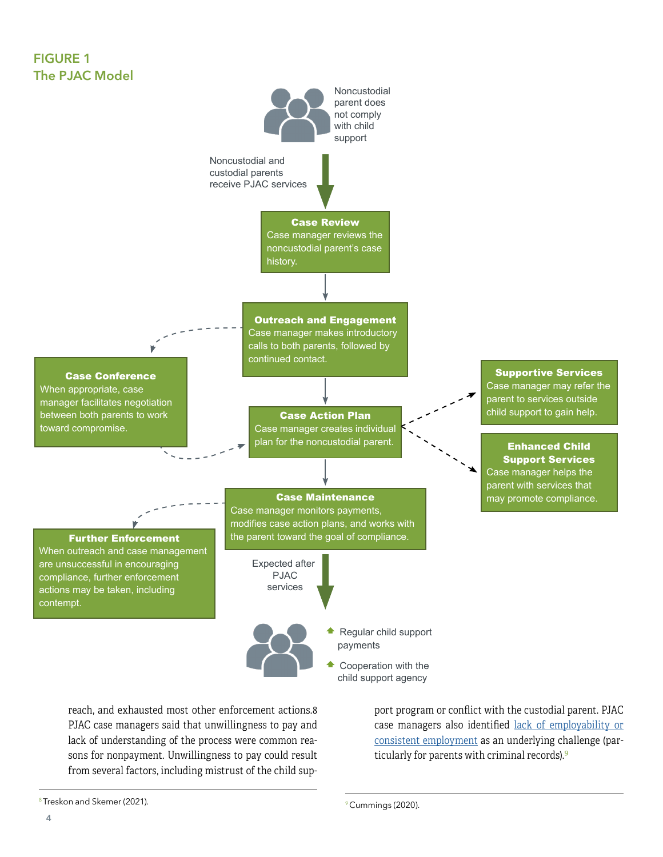## FIGURE 1 The PJAC Model



reach, and exhausted most other enforcement actions.8 PJAC case managers said that unwillingness to pay and lack of understanding of the process were common reasons for nonpayment. Unwillingness to pay could result from several factors, including mistrust of the child sup-

port program or conflict with the custodial parent. PJAC case managers also identified [lack of employability or](https://www.mdrc.org/sites/default/files/ProjectBrief_3_final.pdf) [consistent employment](https://www.mdrc.org/sites/default/files/ProjectBrief_3_final.pdf) as an underlying challenge (particularly for parents with criminal records).<sup>9</sup>

<sup>8</sup> Treskon and Skemer (2021).

<sup>&</sup>lt;sup>9</sup> Cummings (2020).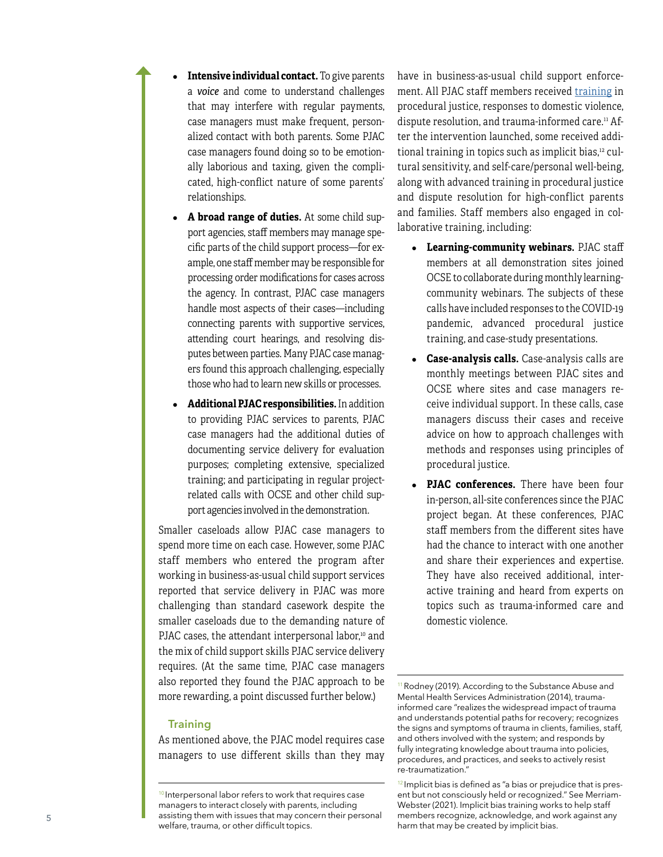- **Intensive individual contact.** To give parents a *voice* and come to understand challenges that may interfere with regular payments, case managers must make frequent, personalized contact with both parents. Some PJAC case managers found doing so to be emotionally laborious and taxing, given the complicated, high-conflict nature of some parents' relationships.
- A **broad range of duties.** At some child support agencies, staff members may manage specific parts of the child support process—for example, one staff member may be responsible for processing order modifications for cases across the agency. In contrast, PJAC case managers handle most aspects of their cases—including connecting parents with supportive services, attending court hearings, and resolving disputes between parties. Many PJAC case managers found this approach challenging, especially those who had to learn new skills or processes.
- ● **Additional PJAC responsibilities.** In addition to providing PJAC services to parents, PJAC case managers had the additional duties of documenting service delivery for evaluation purposes; completing extensive, specialized training; and participating in regular projectrelated calls with OCSE and other child support agencies involved in the demonstration.

Smaller caseloads allow PJAC case managers to spend more time on each case. However, some PJAC staff members who entered the program after working in business-as-usual child support services reported that service delivery in PJAC was more challenging than standard casework despite the smaller caseloads due to the demanding nature of PJAC cases, the attendant interpersonal labor,<sup>10</sup> and the mix of child support skills PJAC service delivery requires. (At the same time, PJAC case managers also reported they found the PJAC approach to be more rewarding, a point discussed further below.)

#### **Training**

As mentioned above, the PJAC model requires case managers to use different skills than they may have in business-as-usual child support enforcement. All PJAC staff members received [training](https://www.mdrc.org/sites/default/files/PJAC_Training_Approaches_Issue_%20Focus.pdf) in procedural justice, responses to domestic violence, dispute resolution, and trauma-informed care.<sup>11</sup> After the intervention launched, some received additional training in topics such as implicit bias,<sup>12</sup> cultural sensitivity, and self-care/personal well-being, along with advanced training in procedural justice and dispute resolution for high-conflict parents and families. Staff members also engaged in collaborative training, including:

- ● **Learning-community webinars.** PJAC staff members at all demonstration sites joined OCSE to collaborate during monthly learningcommunity webinars. The subjects of these calls have included responses to the COVID-19 pandemic, advanced procedural justice training, and case-study presentations.
- ● **Case-analysis calls.** Case-analysis calls are monthly meetings between PJAC sites and OCSE where sites and case managers receive individual support. In these calls, case managers discuss their cases and receive advice on how to approach challenges with methods and responses using principles of procedural justice.
- **PJAC conferences.** There have been four in-person, all-site conferences since the PJAC project began. At these conferences, PJAC staff members from the different sites have had the chance to interact with one another and share their experiences and expertise. They have also received additional, interactive training and heard from experts on topics such as trauma-informed care and domestic violence.

<sup>&</sup>lt;sup>10</sup> Interpersonal labor refers to work that requires case managers to interact closely with parents, including assisting them with issues that may concern their personal welfare, trauma, or other difficult topics.

<sup>&</sup>lt;sup>11</sup> Rodney (2019). According to the Substance Abuse and Mental Health Services Administration (2014), traumainformed care "realizes the widespread impact of trauma and understands potential paths for recovery; recognizes the signs and symptoms of trauma in clients, families, staff, and others involved with the system; and responds by fully integrating knowledge about trauma into policies, procedures, and practices, and seeks to actively resist re-traumatization."

<sup>&</sup>lt;sup>12</sup> Implicit bias is defined as "a bias or prejudice that is present but not consciously held or recognized." See Merriam-Webster (2021). Implicit bias training works to help staff members recognize, acknowledge, and work against any harm that may be created by implicit bias.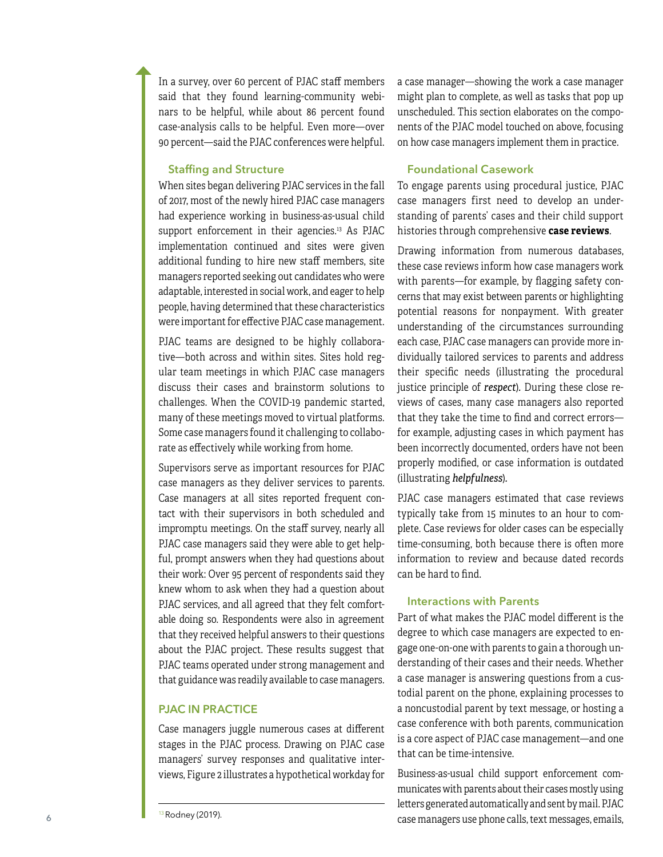In a survey, over 60 percent of PJAC staff members said that they found learning-community webinars to be helpful, while about 86 percent found case-analysis calls to be helpful. Even more—over 90 percent—said the PJAC conferences were helpful.

### Staffing and Structure

When sites began delivering PJAC services in the fall of 2017, most of the newly hired PJAC case managers had experience working in business-as-usual child support enforcement in their agencies. $13$  As PJAC implementation continued and sites were given additional funding to hire new staff members, site managers reported seeking out candidates who were adaptable, interested in social work, and eager to help people, having determined that these characteristics were important for effective PJAC case management.

PJAC teams are designed to be highly collaborative—both across and within sites. Sites hold regular team meetings in which PJAC case managers discuss their cases and brainstorm solutions to challenges. When the COVID-19 pandemic started, many of these meetings moved to virtual platforms. Some case managers found it challenging to collaborate as effectively while working from home.

Supervisors serve as important resources for PJAC case managers as they deliver services to parents. Case managers at all sites reported frequent contact with their supervisors in both scheduled and impromptu meetings. On the staff survey, nearly all PJAC case managers said they were able to get helpful, prompt answers when they had questions about their work: Over 95 percent of respondents said they knew whom to ask when they had a question about PJAC services, and all agreed that they felt comfortable doing so. Respondents were also in agreement that they received helpful answers to their questions about the PJAC project. These results suggest that PJAC teams operated under strong management and that guidance was readily available to case managers.

#### PJAC IN PRACTICE

Case managers juggle numerous cases at different stages in the PJAC process. Drawing on PJAC case managers' survey responses and qualitative interviews, Figure 2 illustrates a hypothetical workday for

13 Rodney (2019).

a case manager—showing the work a case manager might plan to complete, as well as tasks that pop up unscheduled. This section elaborates on the components of the PJAC model touched on above, focusing on how case managers implement them in practice.

#### Foundational Casework

To engage parents using procedural justice, PJAC case managers first need to develop an understanding of parents' cases and their child support histories through comprehensive **case reviews**.

Drawing information from numerous databases, these case reviews inform how case managers work with parents—for example, by flagging safety concerns that may exist between parents or highlighting potential reasons for nonpayment. With greater understanding of the circumstances surrounding each case, PJAC case managers can provide more individually tailored services to parents and address their specific needs (illustrating the procedural justice principle of *respect*)*.* During these close reviews of cases, many case managers also reported that they take the time to find and correct errors for example, adjusting cases in which payment has been incorrectly documented, orders have not been properly modified, or case information is outdated (illustrating *helpfulness*)*.*

PJAC case managers estimated that case reviews typically take from 15 minutes to an hour to complete. Case reviews for older cases can be especially time-consuming, both because there is often more information to review and because dated records can be hard to find.

#### Interactions with Parents

Part of what makes the PJAC model different is the degree to which case managers are expected to engage one-on-one with parents to gain a thorough understanding of their cases and their needs. Whether a case manager is answering questions from a custodial parent on the phone, explaining processes to a noncustodial parent by text message, or hosting a case conference with both parents, communication is a core aspect of PJAC case management—and one that can be time-intensive.

Business-as-usual child support enforcement communicates with parents about their cases mostly using letters generated automatically and sent by mail. PJAC case managers use phone calls, text messages, emails,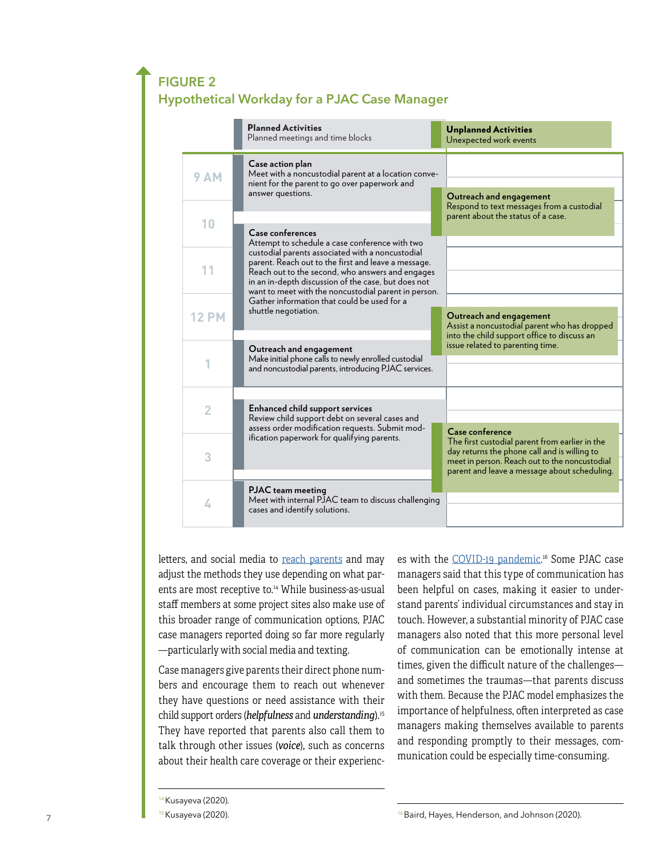# FIGURE 2 Hypothetical Workday for a PJAC Case Manager

|  |                | <b>Planned Activities</b><br>Planned meetings and time blocks                                                                                                                                                                                                                                                                                     | <b>Unplanned Activities</b><br>Unexpected work events                                                                                                                                           |
|--|----------------|---------------------------------------------------------------------------------------------------------------------------------------------------------------------------------------------------------------------------------------------------------------------------------------------------------------------------------------------------|-------------------------------------------------------------------------------------------------------------------------------------------------------------------------------------------------|
|  | <b>9 AM</b>    | Case action plan<br>Meet with a noncustodial parent at a location conve-<br>nient for the parent to go over paperwork and<br>answer questions.                                                                                                                                                                                                    | Outreach and engagement<br>Respond to text messages from a custodial                                                                                                                            |
|  | 10             | Case conferences<br>Attempt to schedule a case conference with two                                                                                                                                                                                                                                                                                | parent about the status of a case.                                                                                                                                                              |
|  | 11             | custodial parents associated with a noncustodial<br>parent. Reach out to the first and leave a message.<br>Reach out to the second, who answers and engages<br>in an in-depth discussion of the case, but does not<br>want to meet with the noncustodial parent in person.<br>Gather information that could be used for a<br>shuttle negotiation. |                                                                                                                                                                                                 |
|  | <b>12 PM</b>   |                                                                                                                                                                                                                                                                                                                                                   | Outreach and engagement<br>Assist a noncustodial parent who has dropped<br>into the child support office to discuss an                                                                          |
|  |                | Outreach and engagement<br>Make initial phone calls to newly enrolled custodial<br>and noncustodial parents, introducing PJAC services.                                                                                                                                                                                                           | issue related to parenting time.                                                                                                                                                                |
|  | $\overline{2}$ | <b>Enhanced child support services</b><br>Review child support debt on several cases and<br>assess order modification requests. Submit mod-                                                                                                                                                                                                       | Case conference                                                                                                                                                                                 |
|  | 3              | ification paperwork for qualifying parents.                                                                                                                                                                                                                                                                                                       | The first custodial parent from earlier in the<br>day returns the phone call and is willing to<br>meet in person. Reach out to the noncustodial<br>parent and leave a message about scheduling. |
|  | 4              | <b>PJAC</b> team meeting<br>Meet with internal PJAC team to discuss challenging<br>cases and identify solutions.                                                                                                                                                                                                                                  |                                                                                                                                                                                                 |

letters, and social media to [reach parents](https://www.mdrc.org/sites/default/files/PJAC_Engagemen_Outreach_Brief_Final.pdf) and may adjust the methods they use depending on what parents are most receptive to.<sup>14</sup> While business-as-usual staff members at some project sites also make use of this broader range of communication options, PJAC case managers reported doing so far more regularly —particularly with social media and texting.

Case managers give parents their direct phone numbers and encourage them to reach out whenever they have questions or need assistance with their child support orders (*helpfulness* and *understanding*).15 They have reported that parents also call them to talk through other issues (*voice*)*,* such as concerns about their health care coverage or their experienc-

es with the <u>[COVID-19 pandemic](https://www.mdrc.org/sites/default/files/PJAC_COVID_brief.pdf)</u>.16 Some PJAC case managers said that this type of communication has been helpful on cases, making it easier to understand parents' individual circumstances and stay in touch. However, a substantial minority of PJAC case managers also noted that this more personal level of communication can be emotionally intense at times, given the difficult nature of the challenges and sometimes the traumas—that parents discuss with them. Because the PJAC model emphasizes the importance of helpfulness, often interpreted as case managers making themselves available to parents and responding promptly to their messages, communication could be especially time-consuming.

<sup>&</sup>lt;sup>14</sup> Kusayeva (2020).

<sup>&</sup>lt;sup>15</sup> Kusayeva (2020).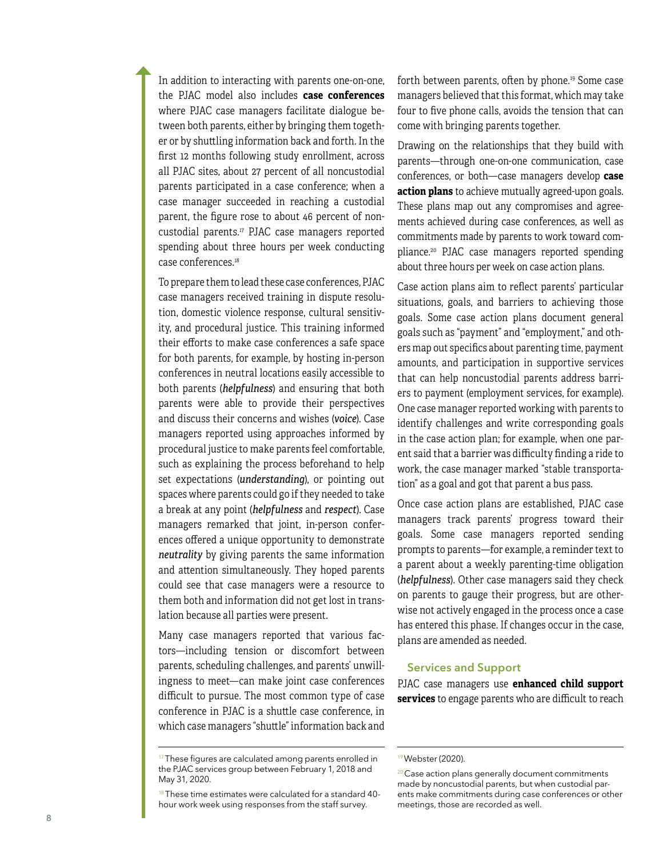In addition to interacting with parents one-on-one, the PJAC model also includes **case conferences** where PJAC case managers facilitate dialogue be tween both parents, either by bringing them togeth er or by shuttling information back and forth. In the first 12 months following study enrollment, across all PJAC sites, about 27 percent of all noncustodial parents participated in a case conference; when a case manager succeeded in reaching a custodial parent, the figure rose to about 46 percent of non custodial parents.<sup>17</sup> PJAC case managers reported spending about three hours per week conducting case conferences.<sup>18</sup>

To prepare them to lead these case conferences, PJAC case managers received training in dispute resolu tion, domestic violence response, cultural sensitiv ity, and procedural justice. This training informed their efforts to make case conferences a safe space for both parents, for example, by hosting in-person conferences in neutral locations easily accessible to both parents (*helpfulness*) and ensuring that both parents were able to provide their perspectives and discuss their concerns and wishes (*voice*). Case managers reported using approaches informed by procedural justice to make parents feel comfortable, such as explaining the process beforehand to help set expectations (*understanding*), or pointing out spaces where parents could go if they needed to take a break at any point (*helpfulness* and *respect*). Case managers remarked that joint, in-person confer ences offered a unique opportunity to demonstrate *neutrality* by giving parents the same information and attention simultaneously. They hoped parents could see that case managers were a resource to them both and information did not get lost in trans lation because all parties were present.

Many case managers reported that various fac tors—including tension or discomfort between parents, scheduling challenges, and parents' unwill ingness to meet—can make joint case conferences difficult to pursue. The most common type of case conference in PJAC is a shuttle case conference, in which case managers "shuttle" information back and forth between parents, often by phone.19 Some case managers believed that this format, which may take four to five phone calls, avoids the tension that can come with bringing parents together.

Drawing on the relationships that they build with parents—through one-on-one communication, case conferences, or both—case managers develop **case action plans** to achieve mutually agreed-upon goals. These plans map out any compromises and agree ments achieved during case conferences, as well as commitments made by parents to work toward com pliance.20 PJAC case managers reported spending about three hours per week on case action plans.

Case action plans aim to reflect parents' particular situations, goals, and barriers to achieving those goals. Some case action plans document general goals such as "payment" and "employment," and oth ers map out specifics about parenting time, payment amounts, and participation in supportive services that can help noncustodial parents address barri ers to payment (employment services, for example). One case manager reported working with parents to identify challenges and write corresponding goals in the case action plan; for example, when one par ent said that a barrier was difficulty finding a ride to work, the case manager marked "stable transporta tion" as a goal and got that parent a bus pass.

Once case action plans are established, PJAC case managers track parents' progress toward their goals. Some case managers reported sending prompts to parents—for example, a reminder text to a parent about a weekly parenting-time obligation (*helpfulness*). Other case managers said they check on parents to gauge their progress, but are other wise not actively engaged in the process once a case has entered this phase. If changes occur in the case, plans are amended as needed.

#### Services and Support

PJAC case managers use **enhanced child support services** to engage parents who are difficult to reach

 $17$ These figures are calculated among parents enrolled in the PJAC services group between February 1, 2018 and May 31, 2020.

 $18$  These time estimates were calculated for a standard 40hour work week using responses from the staff survey.

<sup>19</sup> Webster (2020).

<sup>&</sup>lt;sup>20</sup> Case action plans generally document commitments made by noncustodial parents, but when custodial par ents make commitments during case conferences or other meetings, those are recorded as well.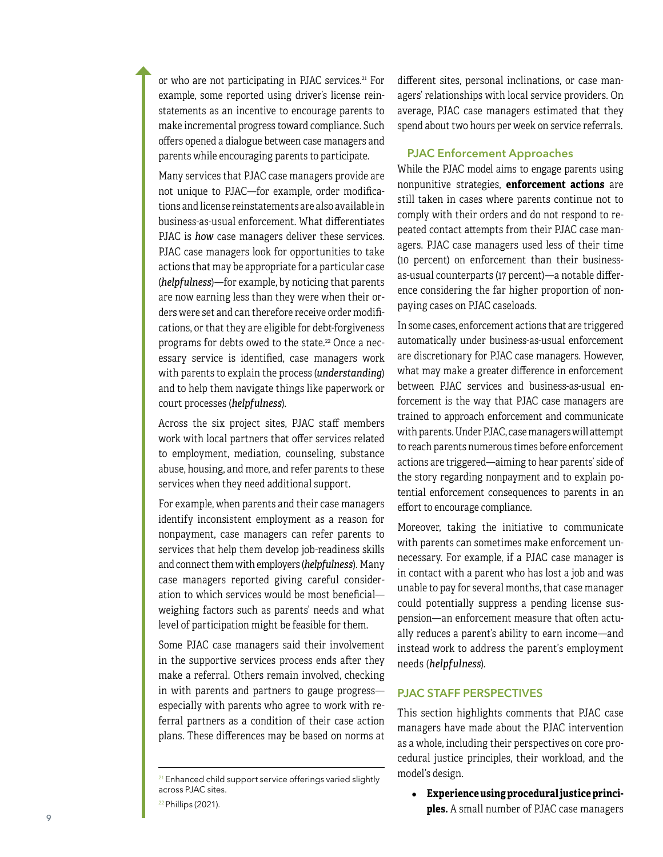or who are not participating in PJAC services.<sup>21</sup> For example, some reported using driver's license rein statements as an incentive to encourage parents to make incremental progress toward compliance. Such offers opened a dialogue between case managers and parents while encouraging parents to participate.

Many services that PJAC case managers provide are not unique to PJAC—for example, order modifica tions and license reinstatements are also available in business-as-usual enforcement. What differentiates PJAC is *how* case managers deliver these services. PJAC case managers look for opportunities to take actions that may be appropriate for a particular case (*helpfulness*)—for example, by noticing that parents are now earning less than they were when their or ders were set and can therefore receive order modifi cations, or that they are eligible for debt-forgiveness programs for debts owed to the state.<sup>22</sup> Once a necessary service is identified, case managers work with parents to explain the process (*understanding*) and to help them navigate things like paperwork or court processes (*helpfulness*).

Across the six project sites, PJAC staff members work with local partners that offer services related to employment, mediation, counseling, substance abuse, housing, and more, and refer parents to these services when they need additional support.

For example, when parents and their case managers identify inconsistent employment as a reason for nonpayment, case managers can refer parents to services that help them develop job-readiness skills and connect them with employers (*helpfulness*). Many case managers reported giving careful consider ation to which services would be most beneficial weighing factors such as parents' needs and what level of participation might be feasible for them.

Some PJAC case managers said their involvement in the supportive services process ends after they make a referral. Others remain involved, checking in with parents and partners to gauge progress especially with parents who agree to work with re ferral partners as a condition of their case action plans. These differences may be based on norms at

different sites, personal inclinations, or case man agers' relationships with local service providers. On average, PJAC case managers estimated that they spend about two hours per week on service referrals.

#### PJAC Enforcement Approaches

While the PJAC model aims to engage parents using nonpunitive strategies, **enforcement actions** are still taken in cases where parents continue not to comply with their orders and do not respond to re peated contact attempts from their PJAC case man agers. PJAC case managers used less of their time (10 percent) on enforcement than their businessas-usual counterparts (17 percent)—a notable difference considering the far higher proportion of nonpaying cases on PJAC caseloads.

In some cases, enforcement actions that are triggered automatically under business-as-usual enforcement are discretionary for PJAC case managers. However, what may make a greater difference in enforcement between PJAC services and business-as-usual en forcement is the way that PJAC case managers are trained to approach enforcement and communicate with parents. Under PJAC, case managers will attempt to reach parents numerous times before enforcement actions are triggered—aiming to hear parents' side of the story regarding nonpayment and to explain po tential enforcement consequences to parents in an effort to encourage compliance.

Moreover, taking the initiative to communicate with parents can sometimes make enforcement un necessary. For example, if a PJAC case manager is in contact with a parent who has lost a job and was unable to pay for several months, that case manager could potentially suppress a pending license sus pension—an enforcement measure that often actu ally reduces a parent's ability to earn income—and instead work to address the parent's employment needs (*helpfulness*).

#### PJAC STAFF PERSPECTIVES

This section highlights comments that PJAC case managers have made about the PJAC intervention as a whole, including their perspectives on core pro cedural justice principles, their workload, and the model's design.

● **Experience using procedural justice princi ples.** A small number of PJAC case managers

<sup>&</sup>lt;sup>21</sup> Enhanced child support service offerings varied slightly across PJAC sites.

<sup>22</sup> Phillips (2021).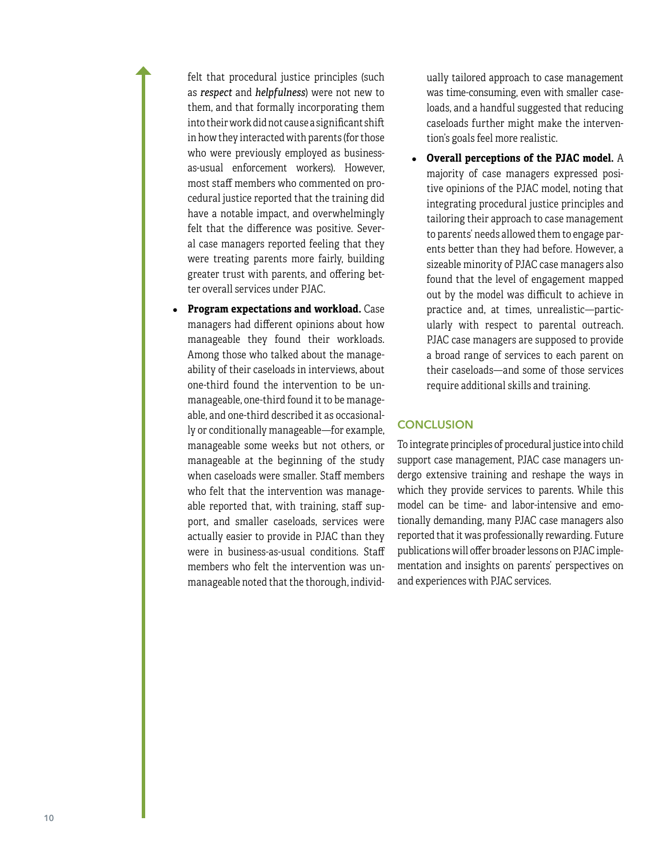felt that procedural justice principles (such as *respect* and *helpfulness*) were not new to them, and that formally incorporating them into their work did not cause a significant shift in how they interacted with parents (for those who were previously employed as businessas-usual enforcement workers). However, most staff members who commented on procedural justice reported that the training did have a notable impact, and overwhelmingly felt that the difference was positive. Several case managers reported feeling that they were treating parents more fairly, building greater trust with parents, and offering better overall services under PJAC.

**Program expectations and workload.** Case managers had different opinions about how manageable they found their workloads. Among those who talked about the manageability of their caseloads in interviews, about one-third found the intervention to be unmanageable, one-third found it to be manageable, and one-third described it as occasionally or conditionally manageable—for example, manageable some weeks but not others, or manageable at the beginning of the study when caseloads were smaller. Staff members who felt that the intervention was manageable reported that, with training, staff support, and smaller caseloads, services were actually easier to provide in PJAC than they were in business-as-usual conditions. Staff members who felt the intervention was unmanageable noted that the thorough, individually tailored approach to case management was time-consuming, even with smaller caseloads, and a handful suggested that reducing caseloads further might make the intervention's goals feel more realistic.

● **Overall perceptions of the PJAC model.** A majority of case managers expressed positive opinions of the PJAC model, noting that integrating procedural justice principles and tailoring their approach to case management to parents' needs allowed them to engage parents better than they had before. However, a sizeable minority of PJAC case managers also found that the level of engagement mapped out by the model was difficult to achieve in practice and, at times, unrealistic—particularly with respect to parental outreach. PJAC case managers are supposed to provide a broad range of services to each parent on their caseloads—and some of those services require additional skills and training.

## **CONCLUSION**

To integrate principles of procedural justice into child support case management, PJAC case managers undergo extensive training and reshape the ways in which they provide services to parents. While this model can be time- and labor-intensive and emotionally demanding, many PJAC case managers also reported that it was professionally rewarding. Future publications will offer broader lessons on PJAC implementation and insights on parents' perspectives on and experiences with PJAC services.